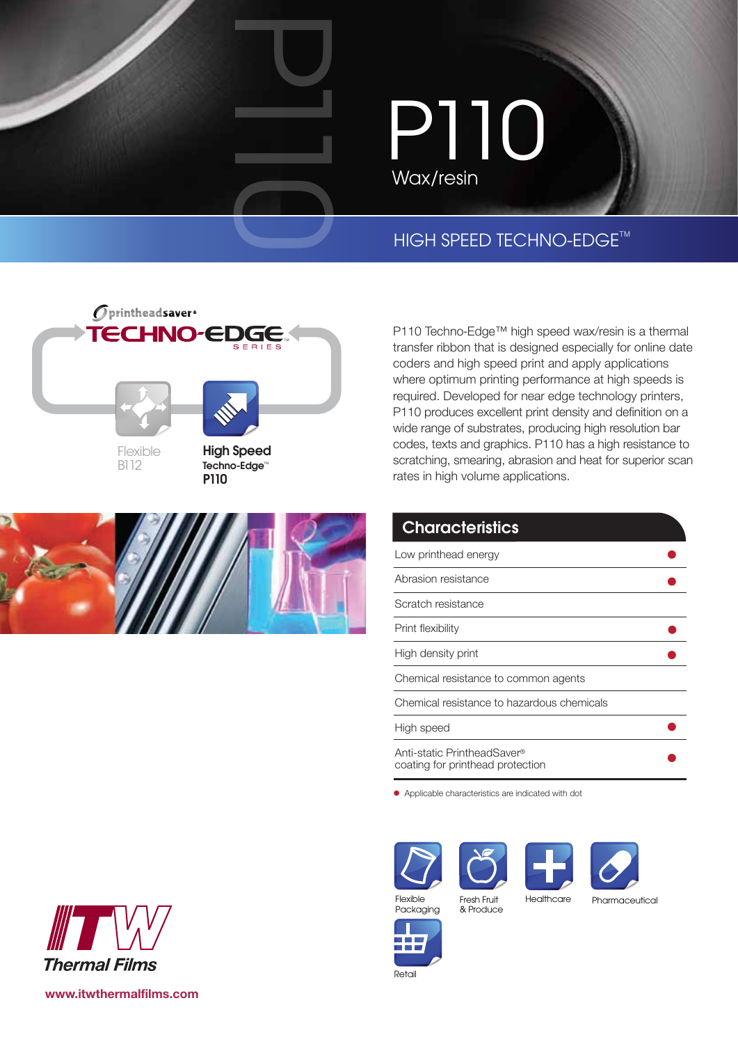# P110 Wax/resin

### **HIGH SPEED TECHNO-EDGE™**



P101



P110 Techno-Edge™ high speed wax/resin is a thermal transfer ribbon that is designed especially for online date coders and high speed print and apply applications where optimum printing performance at high speeds is required. Developed for near edge technology printers, P110 produces excellent print density and definition on a wide range of substrates, producing high resolution bar codes, texts and graphics. P110 has a high resistance to scratching, smearing, abrasion and heat for superior scan rates in high volume applications.

### **Characteristics**

| Low printhead energy                                            |  |
|-----------------------------------------------------------------|--|
| Abrasion resistance                                             |  |
| Scratch resistance                                              |  |
| Print flexibility                                               |  |
| High density print                                              |  |
| Chemical resistance to common agents                            |  |
| Chemical resistance to hazardous chemicals                      |  |
| High speed                                                      |  |
| Anti-static PrintheadSaver®<br>coating for printhead protection |  |

Applicable characteristics are indicated with dot







Packaging

Flexible Fresh Fruit Healthcare Fresh Fruit & Produce

Pharmaceutical



Retail



**www.itwthermalfilms.com**